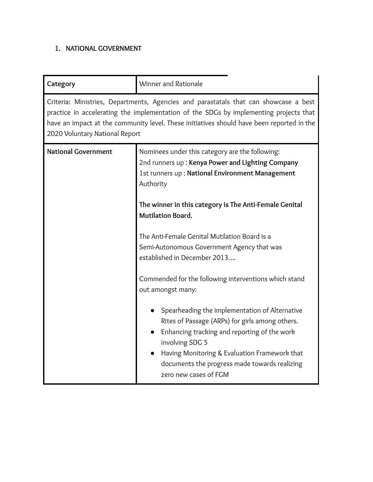# **1. NATIONAL GOVERNMENT**

| Category                                                                                                                                                                                                                                                                                                     | Winner and Rationale                                                                                                                                                                                                                                                                            |
|--------------------------------------------------------------------------------------------------------------------------------------------------------------------------------------------------------------------------------------------------------------------------------------------------------------|-------------------------------------------------------------------------------------------------------------------------------------------------------------------------------------------------------------------------------------------------------------------------------------------------|
| Criteria: Ministries, Departments, Agencies and parastatals that can showcase a best<br>practice in accelerating the implementation of the SDGs by implementing projects that<br>have an impact at the community level. These initiatives should have been reported in the<br>2020 Voluntary National Report |                                                                                                                                                                                                                                                                                                 |
| <b>National Government</b>                                                                                                                                                                                                                                                                                   | Nominees under this category are the following:<br>2nd runners up: Kenya Power and Lighting Company<br>1st runners up: National Environment Management<br>Authority                                                                                                                             |
|                                                                                                                                                                                                                                                                                                              | The winner in this category is The Anti-Female Genital<br><b>Mutilation Board.</b>                                                                                                                                                                                                              |
|                                                                                                                                                                                                                                                                                                              | The Anti-Female Genital Mutilation Board is a<br>Semi-Autonomous Government Agency that was<br>established in December 2013                                                                                                                                                                     |
|                                                                                                                                                                                                                                                                                                              | Commended for the following interventions which stand<br>out amongst many:                                                                                                                                                                                                                      |
|                                                                                                                                                                                                                                                                                                              | Spearheading the implementation of Alternative<br>Rites of Passage (ARPs) for girls among others.<br>Enhancing tracking and reporting of the work<br>involving SDG 5<br>Having Monitoring & Evaluation Framework that<br>documents the progress made towards realizing<br>zero new cases of FGM |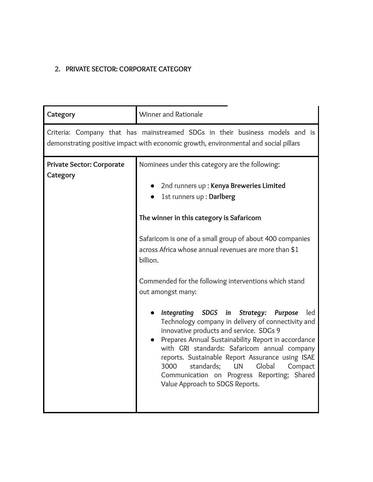#### **2. PRIVATE SECTOR: CORPORATE CATEGORY**

| Category                              | Winner and Rationale                                                                                                                                                                                                                                                                                                                                                                                                                                                                                                                                                                                                                                                                                                                                                                                                                                  |
|---------------------------------------|-------------------------------------------------------------------------------------------------------------------------------------------------------------------------------------------------------------------------------------------------------------------------------------------------------------------------------------------------------------------------------------------------------------------------------------------------------------------------------------------------------------------------------------------------------------------------------------------------------------------------------------------------------------------------------------------------------------------------------------------------------------------------------------------------------------------------------------------------------|
|                                       | Criteria: Company that has mainstreamed SDGs in their business models and is<br>demonstrating positive impact with economic growth, environmental and social pillars                                                                                                                                                                                                                                                                                                                                                                                                                                                                                                                                                                                                                                                                                  |
| Private Sector: Corporate<br>Category | Nominees under this category are the following:<br>2nd runners up: Kenya Breweries Limited<br>1st runners up : Darlberg<br>The winner in this category is Safaricom<br>Safaricom is one of a small group of about 400 companies<br>across Africa whose annual revenues are more than \$1<br>billion.<br>Commended for the following interventions which stand<br>out amongst many:<br>Integrating SDGS in<br>Strategy:<br>led<br><b>Purpose</b><br>Technology company in delivery of connectivity and<br>innovative products and service. SDGs 9<br>Prepares Annual Sustainability Report in accordance<br>with GRI standards: Safaricom annual company<br>reports. Sustainable Report Assurance using ISAE<br>3000<br>standards;<br>Global<br><b>UN</b><br>Compact<br>Communication on Progress Reporting; Shared<br>Value Approach to SDGS Reports. |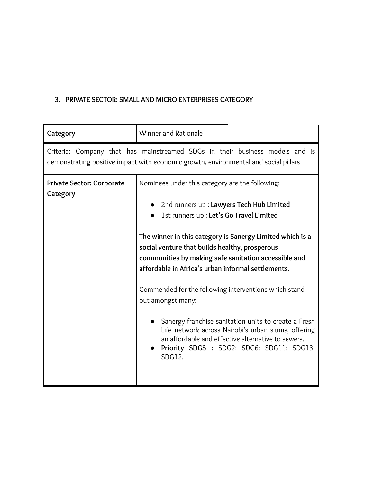# **3. PRIVATE SECTOR: SMALL AND MICRO ENTERPRISES CATEGORY**

| Category                                                                                                                                                             | Winner and Rationale                                                                                                                                                                                                                                                                                                                                                                                                                                                                                                                                                                                                                                                              |
|----------------------------------------------------------------------------------------------------------------------------------------------------------------------|-----------------------------------------------------------------------------------------------------------------------------------------------------------------------------------------------------------------------------------------------------------------------------------------------------------------------------------------------------------------------------------------------------------------------------------------------------------------------------------------------------------------------------------------------------------------------------------------------------------------------------------------------------------------------------------|
| Criteria: Company that has mainstreamed SDGs in their business models and is<br>demonstrating positive impact with economic growth, environmental and social pillars |                                                                                                                                                                                                                                                                                                                                                                                                                                                                                                                                                                                                                                                                                   |
| <b>Private Sector: Corporate</b><br>Category                                                                                                                         | Nominees under this category are the following:<br>• 2nd runners up : Lawyers Tech Hub Limited<br>1st runners up : Let's Go Travel Limited<br>The winner in this category is Sanergy Limited which is a<br>social venture that builds healthy, prosperous<br>communities by making safe sanitation accessible and<br>affordable in Africa's urban informal settlements.<br>Commended for the following interventions which stand<br>out amongst many:<br>Sanergy franchise sanitation units to create a Fresh<br>Life network across Nairobi's urban slums, offering<br>an affordable and effective alternative to sewers.<br>Priority SDGS : SDG2: SDG6: SDG11: SDG13:<br>SDG12. |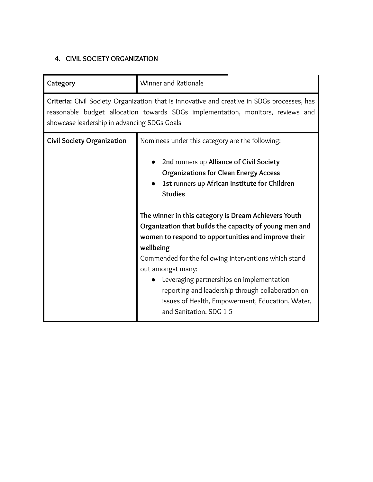## **4. CIVIL SOCIETY ORGANIZATION**

| Category                                                                                                                                                                                                                      | Winner and Rationale                                                                                                                                                                                                                                                                                                                                                                                                                                                                                                                                                                                                                                                |
|-------------------------------------------------------------------------------------------------------------------------------------------------------------------------------------------------------------------------------|---------------------------------------------------------------------------------------------------------------------------------------------------------------------------------------------------------------------------------------------------------------------------------------------------------------------------------------------------------------------------------------------------------------------------------------------------------------------------------------------------------------------------------------------------------------------------------------------------------------------------------------------------------------------|
| Criteria: Civil Society Organization that is innovative and creative in SDGs processes, has<br>reasonable budget allocation towards SDGs implementation, monitors, reviews and<br>showcase leadership in advancing SDGs Goals |                                                                                                                                                                                                                                                                                                                                                                                                                                                                                                                                                                                                                                                                     |
| <b>Civil Society Organization</b>                                                                                                                                                                                             | Nominees under this category are the following:<br>2nd runners up Alliance of Civil Society<br><b>Organizations for Clean Energy Access</b><br>1st runners up African Institute for Children<br><b>Studies</b><br>The winner in this category is Dream Achievers Youth<br>Organization that builds the capacity of young men and<br>women to respond to opportunities and improve their<br>wellbeing<br>Commended for the following interventions which stand<br>out amongst many:<br>Leveraging partnerships on implementation<br>reporting and leadership through collaboration on<br>issues of Health, Empowerment, Education, Water,<br>and Sanitation. SDG 1-5 |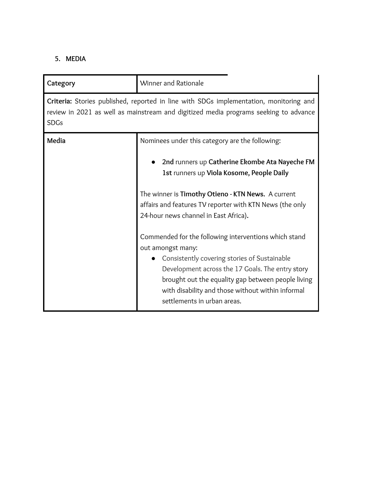# **5. MEDIA**

| Category                                                                                                                                                                                      | Winner and Rationale                                                                                                                                                                                                                                                                                                     |
|-----------------------------------------------------------------------------------------------------------------------------------------------------------------------------------------------|--------------------------------------------------------------------------------------------------------------------------------------------------------------------------------------------------------------------------------------------------------------------------------------------------------------------------|
| Criteria: Stories published, reported in line with SDGs implementation, monitoring and<br>review in 2021 as well as mainstream and digitized media programs seeking to advance<br><b>SDGs</b> |                                                                                                                                                                                                                                                                                                                          |
| Media                                                                                                                                                                                         | Nominees under this category are the following:<br>2nd runners up Catherine Ekombe Ata Nayeche FM<br>1st runners up Viola Kosome, People Daily                                                                                                                                                                           |
|                                                                                                                                                                                               | The winner is Timothy Otieno - KTN News. A current<br>affairs and features TV reporter with KTN News (the only<br>24-hour news channel in East Africa).                                                                                                                                                                  |
|                                                                                                                                                                                               | Commended for the following interventions which stand<br>out amongst many:<br>Consistently covering stories of Sustainable<br>Development across the 17 Goals. The entry story<br>brought out the equality gap between people living<br>with disability and those without within informal<br>settlements in urban areas. |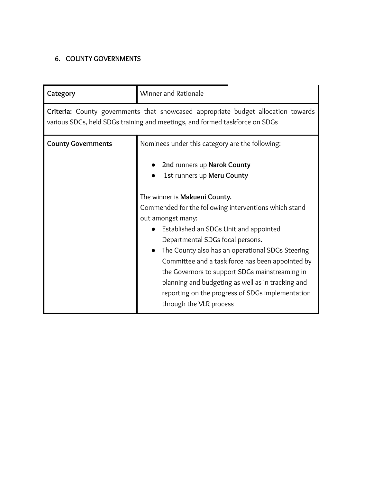## **6. COUNTY GOVERNMENTS**

| Category                                                                                                                                                         | Winner and Rationale                                                                                                                                                                                                                                                                                                                                                                                                                                                                    |
|------------------------------------------------------------------------------------------------------------------------------------------------------------------|-----------------------------------------------------------------------------------------------------------------------------------------------------------------------------------------------------------------------------------------------------------------------------------------------------------------------------------------------------------------------------------------------------------------------------------------------------------------------------------------|
| Criteria: County governments that showcased appropriate budget allocation towards<br>various SDGs, held SDGs training and meetings, and formed taskforce on SDGs |                                                                                                                                                                                                                                                                                                                                                                                                                                                                                         |
| <b>County Governments</b>                                                                                                                                        | Nominees under this category are the following:<br>2nd runners up Narok County<br>1st runners up Meru County                                                                                                                                                                                                                                                                                                                                                                            |
|                                                                                                                                                                  | The winner is Makueni County.<br>Commended for the following interventions which stand<br>out amongst many:<br>Established an SDGs Unit and appointed<br>Departmental SDGs focal persons.<br>The County also has an operational SDGs Steering<br>Committee and a task force has been appointed by<br>the Governors to support SDGs mainstreaming in<br>planning and budgeting as well as in tracking and<br>reporting on the progress of SDGs implementation<br>through the VLR process |